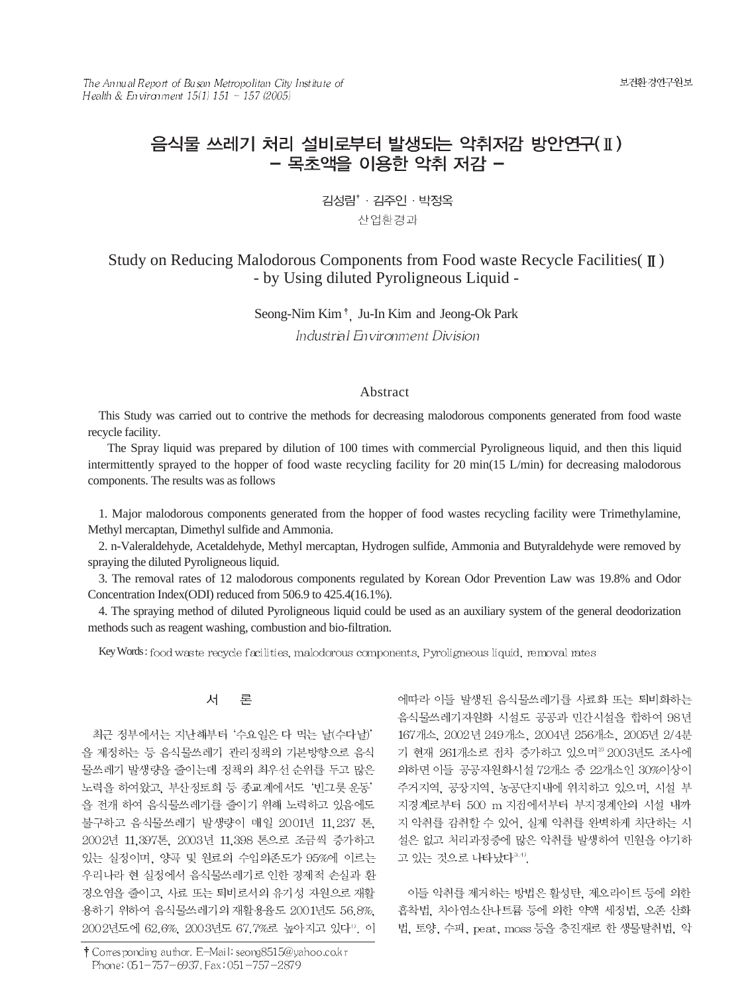The Annual Report of Busan Metropolitan City Institute of Health & Environment  $15(1)$   $151 \sim 157$  (2005)

# 음식물 쓰레기 처리 설비로부터 발생되는 악취저감 방안연구(II) - 목초액을 이용한 악취 저감 -

김성림<sup>\*</sup> · 김주인 · 박정옥 산업환경과

# Study on Reducing Malodorous Components from Food waste Recycle Facilities  $(\mathbb{I})$ - by Using diluted Pyroligneous Liquid -

# Seong-Nim Kim<sup>+</sup>, Ju-In Kim and Jeong-Ok Park Industrial Environment Division

# Abstract

This Study was carried out to contrive the methods for decreasing malodorous components generated from food waste recycle facility.

The Spray liquid was prepared by dilution of 100 times with commercial Pyroligneous liquid, and then this liquid intermittently sprayed to the hopper of food waste recycling facility for 20 min(15 L/min) for decreasing malodorous components. The results was as follows

1. Major malodorous components generated from the hopper of food wastes recycling facility were Trimethylamine, Methyl mercaptan, Dimethyl sulfide and Ammonia.

2. n-Valeraldehyde, Acetaldehyde, Methyl mercaptan, Hydrogen sulfide, Ammonia and Butyraldehyde were removed by spraying the diluted Pyroligneous liquid.

3. The removal rates of 12 malodorous components regulated by Korean Odor Prevention Law was 19.8% and Odor Concentration Index(ODI) reduced from 506.9 to 425.4(16.1%).

4. The spraying method of diluted Pyroligneous liquid could be used as an auxiliary system of the general deodorization methods such as reagent washing, combustion and bio-filtration.

Key Words: food was te recycle facilities, malodorous components, Pyroligneous liquid, removal rates

#### 人 론

최근 정부에서는 지난해부터 '수요일은 다 먹는 날(수다날)' 을 제정하는 등 음식물쓰레기 관리정책의 기본방향으로 음식 물쓰레기 발생량을 줄이는데 정책의 최우선 순위를 두고 많은 노력을 하여왔고, 부산정토회 등 종교계에서도 '빈그릇 운동' 을 전개 하여 음식물쓰레기를 줄이기 위해 노력하고 있음에도 불구하고 음식물쓰레기 발생량이 매일 2001년 11,237 톤, 2002년 11,397톤, 2003년 11,398 톤으로 조금씩 증가하고 있는 실정이며, 양곡 및 원료의 수입의존도가 95%에 이르는 우리나라 현 실정에서 음식물쓰레기로 인한 경제적 손실과 환 경오염을 줄이고, 사료 또는 퇴비로서의 유기성 자원으로 재활 용하기 위하여 음식물쓰레기의 재활용율도 2001년도 56.8%, 2002년도에 62.6%, 2003년도 67.7%로 높아지고 있다". 이

† Corresponding author. E-Mail: seong8515@yahoo.co.kr Phone: 051-757-6937, Fax: 051-757-2879

에따라 이들 발생된 음식물쓰레기를 사료화 또는 퇴비화하는 음식물쓰레기자원화 시설도 공공과 민간시설을 합하여 98년 167개소, 2002년 249개소, 2004년 256개소, 2005년 2/4분 기 현재 261개소로 전차 증가하고 있으며2) 2003년도 조사에 의하면 이들 공공자원화시설 72개소 중 22개소인 30%이상이 주거지역, 공장지역, 농공단지내에 위치하고 있으며, 시설 부 지경계로부터 500 m 지점에서부터 부지경계안의 시설 내까 지 악취를 감취할 수 있어, 실제 악취를 완벽하게 차단하는 시 설은 없고 처리과정중에 많은 악취를 발생하여 민원을 야기하 고 있는 것으로 나타났다3.4).

이들 악취를 제거하는 방법은 활성탄, 제오라이트 등에 의한 흡착법, 차아염소산나트륨 등에 의한 약액 세정법, 오존 산화 법, 토양, 수피, peat, moss 등을 충진재로 한 생물탈취법, 악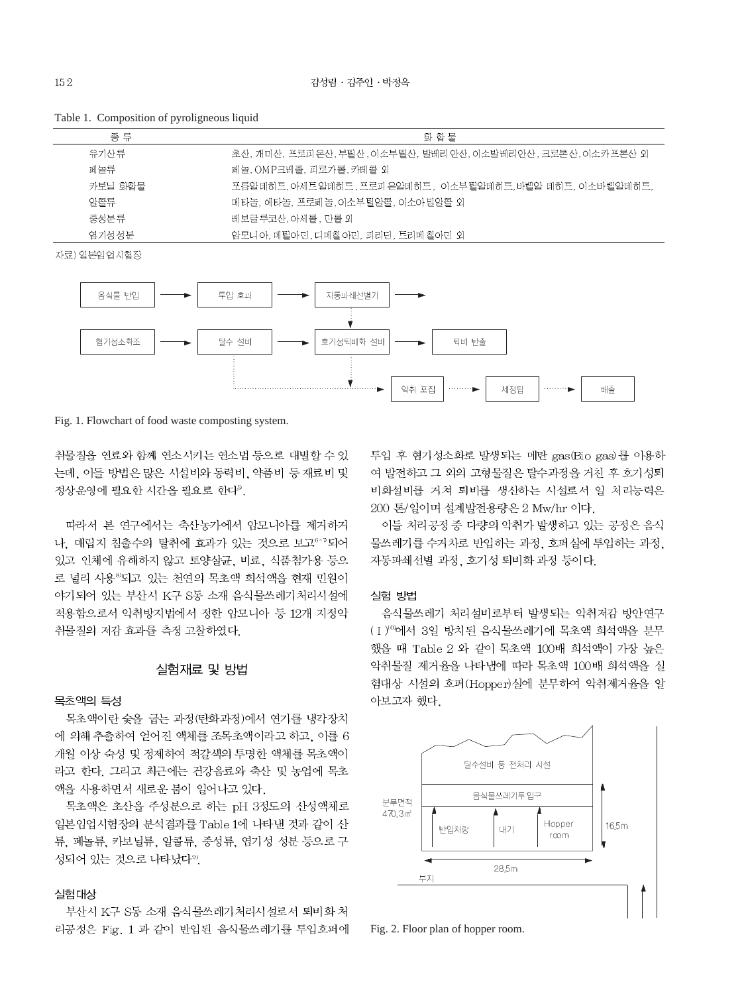| 종 류     | 화 함 물                                                           |
|---------|-----------------------------------------------------------------|
| 유기사 류   | '초산, 개미산, 프로피'온산, 부틸산, 이소부'틸산, 발레리'안산, 이소발레리안산 , 크로톤산, 이소카프론산 외 |
| 페놀름     | 페놀, OMP크레졸, 피로가롤, 카테콜 외                                         |
| 카보님 화함물 | -포릅알데히드, 아세트알데히드, 프로피 온알데히드,- 이소부틸알데히드,바렐알 데히드, 이소바렐알데히드,       |
| 암콜류     | '메타놀, 에타놀, 프로페놀, 이소부틸알콜, 이소아밀알콜 외                               |
| 중성분류    | 레보글루코산, 아세롤, 만롤 외                                               |
| 염기성 성분  | '암모니'아, 메틸아민, 디메칠'아민, 피리딘, 트리메 칠아민 외                            |

Table 1. Composition of pyroligneous liquid

자료) 일본임업시험장



Fig. 1. Flowchart of food waste composting system.

취물질을 연료와 함께 연소시키는 연소법 등으로 대별할 수 있 는데, 이들 방법은 많은 시설비와 동력비, 약품비 등 재료비 및 정상운영에 필요한 시간을 필요로 한다<sup>5</sup>.

따라서 본 연구에서는 축산농가에서 암모니아를 제거하거 나, 매립지 침출수의 탈취에 효과가 있는 것으로 보고<sup>6-7</sup>되어 있고 인체에 유해하지 않고 토양살균, 비료, 식품첨가용 등으 로 널리 사용<sup>8</sup>되고 있는 천연의 목초액 희석액을 현재 민원이 야기되어 있는 부산시 K구 S동 소재 음식물쓰레기처리시설에 적용함으로서 악취방지법에서 정한 암모니아 등 12개 지정악 취물질의 저감 효과를 측정 고찰하였다.

# 실험재료 및 방법

### 목초액의 특성

목초액이란 숯을 굽는 과정(탄화과정)에서 연기를 냉각장치 에 의해 추출하여 얻어진 액체를 조목초액이라고 하고, 이를 6 개월 이상 숙성 및 정제하여 적갈색의 투명한 액체를 목초액이 라고 한다. 그리고 최근에는 건강음료와 축산 및 농업에 목초 액을 사용하면서 새로운 붐이 일어나고 있다.

목초액은 초산을 주성분으로 하는 pH 3정도의 산성액체로 일본임업시험장의 분석결과를 Table 1에 나타낸 것과 같이 산 류, 페놀류, 카보닐류, 알콜류, 중성류, 염기성 성분 등으로 구 성되어 있는 것으로 나타났다<sup>99</sup>.

#### 실험대상

부산시 K구 S동 소재 음식물쓰레기처리시설로서 퇴비화 처 리공정은 Fig. 1 과 같이 반입된 음식물쓰레기를 투입호퍼에 투입 후 혐기성소화로 발생되는 메탄 gas(Bio gas)를 이용하 여 발전하고 그 외의 고형물질은 탈수과정을 거친 후 호기성퇴 비화설비를 거쳐 퇴비를 생산하는 시설로서 일 처리능력은 200 톤/일이며 설계발전용량은 2 Mw/hr 이다.

이들 처리공정 중 다량의 악취가 발생하고 있는 공정은 음식 물쓰레기를 수거차로 반입하는 과정, 호퍼실에 투입하는 과정, 자동파쇄선별 과정, 호기성 퇴비화 과정 등이다.

# 실험 방법

음식물쓰레기 처리설비로부터 발생되는 악취저감 방안연구 (I) 0에서 3일 방치된 음식물쓰레기에 목초액 희석액을 분무 했을 때 Table 2 와 같이 목초액 100배 희석액이 가장 높은 악취물질 제거율을 나타낸에 따라 목초액 100배 희석액을 실 험대상 시설의 호퍼(Hopper)실에 분무하여 악취제거율을 알 아보고자 했다.



Fig. 2. Floor plan of hopper room.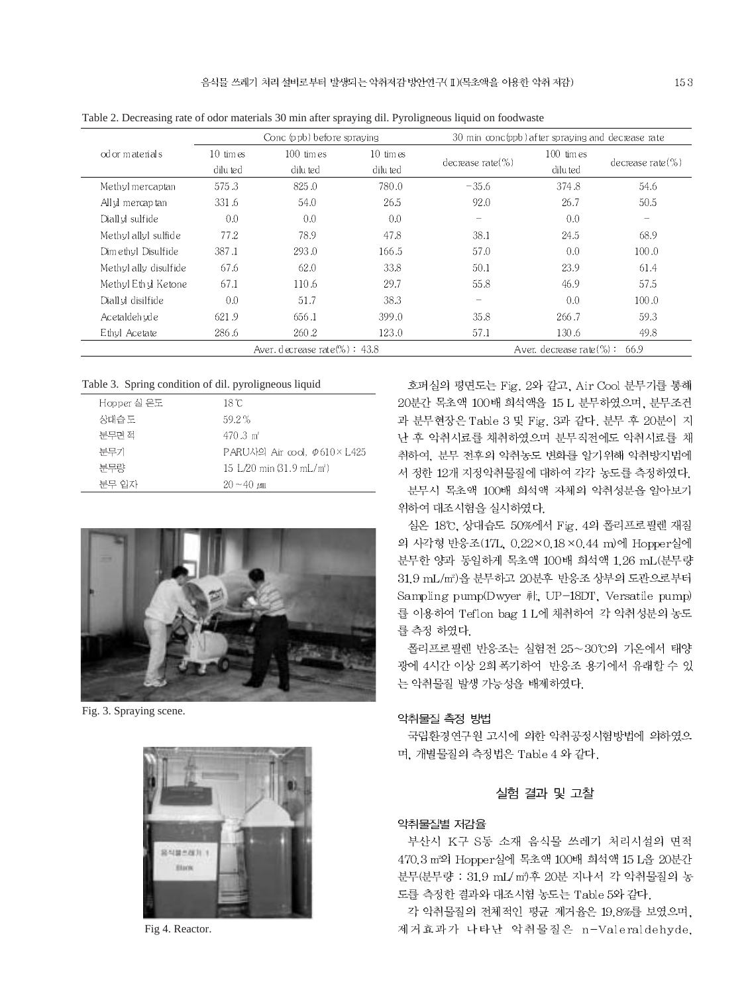|                                   |                           | Conc (ppb) before spraving |                           | 30 min conc(ppb) after spraying and decrease rate |                                  |                       |
|-----------------------------------|---------------------------|----------------------------|---------------------------|---------------------------------------------------|----------------------------------|-----------------------|
| od or materials                   | $10 \,$ times<br>dilu ted | $100$ times<br>dilu ted    | $10 \,$ times<br>dilu ted | decrease rate $(\% )$                             | $100$ times<br>dilu ted          | decrease rate $(\% )$ |
| Methyl mercaptan                  | 575.3                     | 825.0                      | 780.0                     | $-35.6$                                           | 374.8                            | 54.6                  |
| All vi mercap tan                 | 331.6                     | 54.0                       | 26.5                      | 92.0                                              | 26.7                             | 50.5                  |
| Diall vl sulfide                  | 0.0                       | 0.0                        | 0.0                       | $\hspace{0.1mm}-\hspace{0.1mm}$                   | 0.0                              | $-$                   |
| Methyl allyl sulfide              | 77.2                      | 78.9                       | 47.8                      | 38.1                                              | 24.5                             | 68.9                  |
| Dimethyl Disulfide                | 387.1                     | 293.0                      | 166.5                     | 57.0                                              | 0.0                              | 100.0                 |
| Methyl ally disulfide             | 67.6                      | 62.0                       | 33.8                      | 50.1                                              | 23.9                             | 61.4                  |
| Methyl Ethyl Ketone               | 67.1                      | 110.6                      | 29.7                      | 55.8                                              | 46.9                             | 57.5                  |
| Diall vl disilfide                | 0.0                       | 51.7                       | 38.3                      | $\qquad \qquad -$                                 | 0.0                              | 100.0                 |
| Acetaldeh vd e                    | 621.9                     | 656.1                      | 399.0                     | 35.8                                              | 266.7                            | 59.3                  |
| Ethyl Acetate                     | 286.6                     | 260.2                      | 123.0                     | 57.1                                              | 130.6                            | 49.8                  |
| Aver, decrease rate $(\%)$ : 43.8 |                           |                            |                           |                                                   | Aver. decrease rate $(\%):$ 66.9 |                       |

Table 2. Decreasing rate of odor materials 30 min after spraying dil. Pyroligneous liquid on foodwaste

# Table 3. Spring condition of dil. pyroligneous liquid

| Hopper 실 온도 | 18 °C                                               |
|-------------|-----------------------------------------------------|
| 상대습도        | 59.2%                                               |
| 분무면 적       | $470.3 \text{ m}^2$                                 |
| 분무기         | $PARU\lambda$ 의 Air cool. $\varphi 610 \times L425$ |
| 분무량         | 15 L/20 min (31.9 mL/m <sup>2</sup> )               |
| 부무 입자       | $20 - 40 \mu m$                                     |



Fig. 3. Spraying scene.



Fig 4. Reactor.

호퍼실의 평면도는 Fig. 2와 같고, Air Cool 분무기를 통해 20분간 목초액 100배 회석액을 15 L 분무하였으며, 분무조건 과 분무현장은 Table 3 및 Fig. 3과 같다. 분무 후 20분이 지 난 후 악취시료를 채취하였으며 분무직전에도 악취시료를 채 취하여, 분무 전후의 악취농도 변화를 알기위해 악취방지법에 서 정한 12개 지정악취물질에 대하여 각각 농도를 측정하였다. 분무시 목초액 100배 희석액 자체의 악취성분을 알아보기

위하여 대조시험을 실시하였다.

실온 18℃, 상대습도 50%에서 Fig. 4의 폴리프로필렌 재질 의 사각형 반응조(17L, 0.22×0.18×0.44 m)에 Hopper실에 분무한 양과 동일하게 목초액 100배 희석액 1.26 mL(분무량 31.9 mL/m2)을 분무하고 20분후 반응조 상부의 도관으로부터 Sampling pump(Dwyer  $\bar{\psi}$ ), UP-18DT, Versatile pump) 를 이용하여 Teflon bag 1 L에 채취하여 각 악취성분의 농도 를 측정 하였다.

폴리프로필렌 반응조는 실험전 25~30℃의 기온에서 태양 광에 4시간 이상 2회 폭기하여 반응조 용기에서 유래할 수 있 는 악취물질 발생 가능성을 배제하였다.

## 악취물질 측정 방법

국립환경연구원 고시에 의한 악취공정시험방법에 의하였으 며, 개별물질의 측정법은 Table 4 와 같다.

# 실험 결과 및 고찰

## 악취물질별 저감율

부산시 K구 S동 소재 음식물 쓰레기 처리시설의 면적 470.3 m2의 Hopper실에 목초액 100배 희석액 15 L을 20분간 분무(분무량 : 31.9 mL/ m2후 20분 지나서 각 악취물질의 농 도를 측정한 결과와 대조시험 농도는 Table 5와 같다.

각 악취물질의 전체적인 평균 제거율은 19.8%를 보였으며, 제거효과가 나타난 악취물질은 n-Valeraldehyde,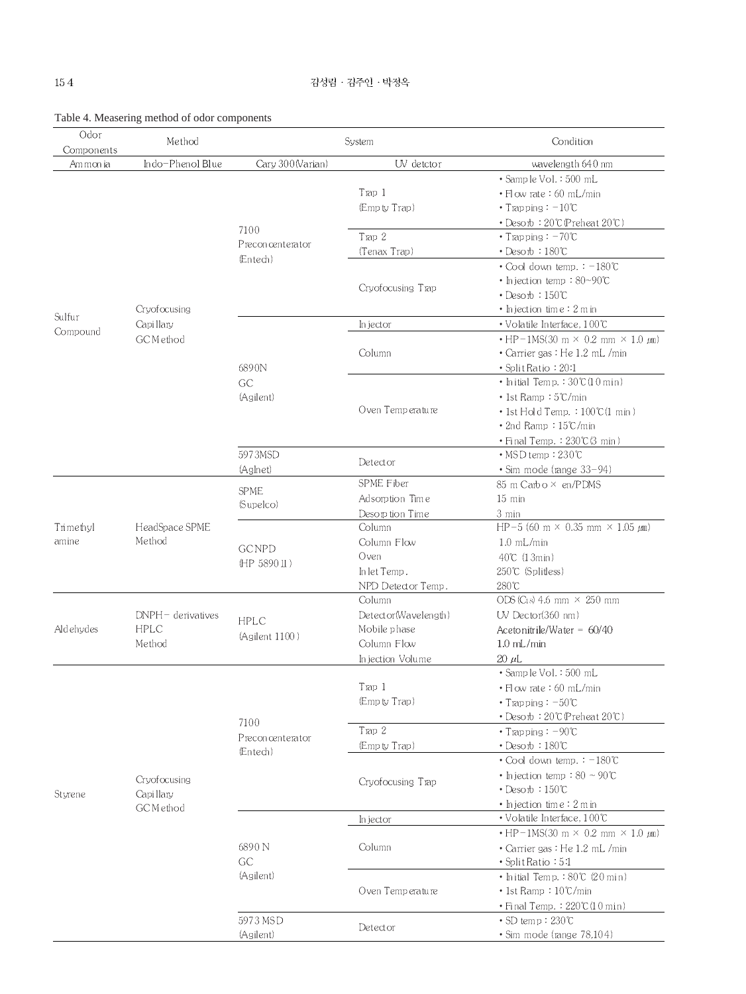| Odor<br>Components | Method                    | System                        |                      | Condition                                                 |  |  |
|--------------------|---------------------------|-------------------------------|----------------------|-----------------------------------------------------------|--|--|
| Ammonia            | Indo-Phenol Blue          | Cary 300(Varian)              | UV detctor           | wavelength 640 nm                                         |  |  |
|                    |                           |                               |                      | • Sample Vol. : 500 mL                                    |  |  |
|                    |                           |                               | T <sub>rap</sub> 1   | • Flow rate : 60 mL/min                                   |  |  |
|                    |                           |                               | (Empty Trap)         | • Trapping $: -10^{\circ}\text{C}$                        |  |  |
|                    |                           | 7100                          |                      | • Desorb: 20°C (Preheat 20°C)                             |  |  |
|                    |                           | Preconcenterator              | Trap 2               | • Trapping: $-70^{\circ}$ C                               |  |  |
|                    |                           | (Entech)                      | (Tenax Trap)         | $\cdot$ Desorb : 180°C                                    |  |  |
|                    |                           |                               |                      | • Cool down temp.: -180°C                                 |  |  |
|                    |                           |                               | Cryofocusing Trap    | • Injection temp: 80~90°C                                 |  |  |
|                    |                           |                               |                      | • Desorb : $150^{\circ}$ C                                |  |  |
| Sulfur             | Cryofocusing              |                               |                      | • Injection time : $2 \text{ m}$ in                       |  |  |
|                    | Capillary                 |                               | In jector            | $\bullet$ Volatile Interface, 100°C                       |  |  |
| Compound           | GCMethod                  |                               |                      | $\cdot$ HP-1MS(30 m $\times$ 0.2 mm $\times$ 1.0 $\mu$ m) |  |  |
|                    |                           |                               | Column               | • Carrier gas : He 1.2 mL /min                            |  |  |
|                    |                           | 6890N                         |                      | • Split Ratio: 20:1                                       |  |  |
|                    |                           | <b>GC</b>                     |                      | • Initial Temp.: $30^{\circ}$ (10 min)                    |  |  |
|                    |                           | (Agilent)                     |                      | • 1st Ramp : 5℃/min                                       |  |  |
|                    |                           |                               | Oven Temperature     | $\cdot$ 1st Hold Temp. : 100°C(1 min)                     |  |  |
|                    |                           |                               |                      | $\cdot$ 2nd Ramp : $15^{\circ}$ C/min                     |  |  |
|                    |                           |                               |                      | • Final Temp.: 230°C(3 min)                               |  |  |
|                    |                           | 5973MSD                       |                      | · MSD temp: 230°C                                         |  |  |
|                    |                           | (Aglnet)                      | Detector             | $\cdot$ Sim mode (range $33-94$ )                         |  |  |
|                    |                           |                               | SPME Fiber           | 85 m Carbo × en/PDMS                                      |  |  |
|                    |                           | <b>SPME</b>                   | Adsorption Time      | $15 \text{ min}$                                          |  |  |
|                    |                           | (Supelco)                     | Desorption Time      | 3 min                                                     |  |  |
| Trimethyl          | HeadSpace SPME            |                               | Column               | HP-5 (60 m $\times$ 0.35 mm $\times$ 1.05 $\mu$ m)        |  |  |
| amine              | Method                    |                               | Column Flow          | $1.0$ mL/min                                              |  |  |
|                    |                           | <b>GC NPD</b><br>(HP 5890 II) | Oven                 | 40℃ (1 3min)                                              |  |  |
|                    |                           |                               | In let Temp.         | 250℃ (Splitless)                                          |  |  |
|                    |                           |                               | NPD Detector Temp.   | 280°C                                                     |  |  |
|                    |                           |                               | Column               | ODS (Cis) 4.6 mm $\times$ 250 mm                          |  |  |
|                    | $DNPH-$ derivatives       |                               | Detector(Wavelength) | $UV$ Dector(360 nm)                                       |  |  |
| Aldehydes          | <b>HPLC</b>               | HPLC<br>(Agilent 1100)        | Mobile phase         | Acetonitrile/Water = $60/40$                              |  |  |
|                    | Method                    |                               | Column Flow          | $1.0$ mL/min                                              |  |  |
|                    |                           |                               | Injection Volume     | $20~\mu L$                                                |  |  |
|                    |                           |                               |                      | · Sample Vol.: 500 mL                                     |  |  |
|                    |                           |                               | Trap 1               | • Flow rate: 60 mL/min                                    |  |  |
|                    |                           |                               | (Empty Trap)         | • Trapping: $-50^{\circ}$ C                               |  |  |
|                    |                           | 7100                          |                      | • Desorb: 20°C (Preheat 20°C)                             |  |  |
|                    |                           |                               | Trap 2               | • Trapping: $-90^{\circ}$ C                               |  |  |
|                    |                           | Preconcenterator              | (Empty Trap)         | $\cdot$ Desorb : 180°C                                    |  |  |
|                    |                           | (Entech)                      |                      | $\cdot$ Cool down temp. : $-180^{\circ}$ C                |  |  |
|                    |                           |                               |                      | • Injection temp: $80 - 90$ °C                            |  |  |
|                    | Cryofocusing<br>Capillary |                               | Cryofocusing Trap    | $\cdot$ Desorb : 150°C                                    |  |  |
| Styrene            | GCMethod                  |                               |                      | $\cdot$ Injection time: 2 m in                            |  |  |
|                    |                           |                               | In jector            | $\bullet$ Volatile Interface, 100°C                       |  |  |
|                    |                           |                               | Column               | $\cdot$ HP-1MS(30 m $\times$ 0.2 mm $\times$ 1.0 $\mu$ m) |  |  |
|                    |                           | 6890 N                        |                      | • Carrier gas : He 1.2 mL /min                            |  |  |
|                    |                           | GC                            |                      | $\cdot$ Split Ratio : 5:1                                 |  |  |
|                    |                           | (Agilent)                     |                      | • Initial Temp.: 80°C (20 min)                            |  |  |
|                    |                           |                               | Oven Temperature     | $\cdot$ 1st Ramp : $10^{\circ}$ C/min                     |  |  |
|                    |                           |                               |                      | $\cdot$ Final Temp.: $220^{\circ}$ C(10 min)              |  |  |
|                    |                           | 5973 MSD                      |                      | $\cdot$ SD temp: 230°C                                    |  |  |
|                    |                           | (Agilent)                     | Detector             | · Sim mode (range 78,104)                                 |  |  |
|                    |                           |                               |                      |                                                           |  |  |

# Table 4. Measering method of odor components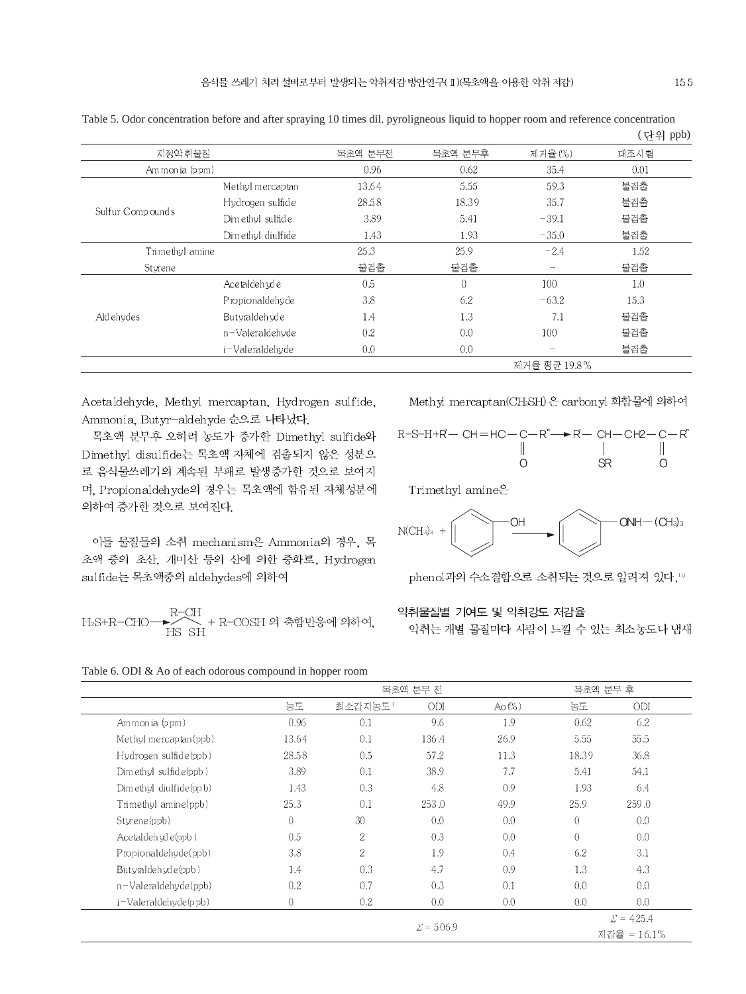|                  |                    |         |                |                          | ヽ ヒ ココ エエニノ |
|------------------|--------------------|---------|----------------|--------------------------|-------------|
| 지정악 취물질          |                    | 목초액 분무전 | 목초액 분무후        | 제거율(%)                   | 대조시험        |
| Am mon ia (ppm)  |                    | 0.96    | 0.62           | 35.4                     | 0.01        |
|                  | Methyl mercaptan   | 13.64   | 5.55           | 59.3                     | 불검출         |
|                  | Hydrogen sulfide   | 28.58   | 18.39          | 35.7                     | 불검출         |
| Sulfur Compounds | Dim ethyl sulfide  | 3.89    | 5.41           | $-39.1$                  | 불검출         |
|                  | Dim ethul diulfide | 1.43    | 1.93           | $-35.0$                  | 불검출         |
| Trimethyl amine  |                    | 25.3    | 25.9           | $-2.4$                   | 1.52        |
| Sturene          |                    | 불검출     | 불검출            | $\overline{\phantom{0}}$ | 불검출         |
|                  | Acetaldeh vde      | 0.5     | $\overline{0}$ | 100                      | 1.0         |
| Aldehydes        | Propionaldehyde    | 3.8     | 6.2            | $-63.2$                  | 15.3        |
|                  | Butyraldeh yde     | 1.4     | 1.3            | 7.1                      | 불검출         |
|                  | n-Valeraldehyde    | 0.2     | 0.0            | 100                      | 불검출         |
|                  | i-Valeraldehyde    | 0.0     | 0.0            |                          | 불검출         |
|                  |                    |         |                | 제거율 평균 19.8%             |             |

Table 5. Odor concentration before and after spraying 10 times dil. pyroligneous liquid to hopper room and reference concentration (다의 ppb)

Acetaldehyde, Methyl mercaptan, Hydrogen sulfide, Ammonia, Butyr-aldehyde 순으로 나타났다.

목초액 분무후 오히려 농도가 증가한 Dimethyl sulfide와 Dimethyl disulfide는 목초액 자체에 검출되지 않은 성분으 로 음식물쓰레기의 계속된 부패로 발생증가한 것으로 보여지 며, Propionaldehyde의 경우는 목초액에 함유된 자체성분에 의하여 증가한 것으로 보여진다.

이들 물질들의 소취 mechanism은 Ammonia의 경우, 목 초액 중의 초산, 개미산 등의 산에 의한 중화로, Hydrogen sulfide는 목초액중의 aldehydes에 의하여

$$
\text{H}_2\text{S+R-CHO} \longrightarrow \begin{array}{c} \text{R-CH} \\ \text{H}_2 \end{array} + \text{R-COSH } 2 \text{l} \: \hat{\Leftrightarrow} \: \text{PH}^2 \text{H} \text{H}^2 \text{H}^2 \text{H}^2 \text{H}^2 \text{H}^2 \text{H}^2 \text{H}^2 \text{H}^2 \text{H}^2 \text{H}^2 \text{H}^2 \text{H}^2 \text{H}^2 \text{H}^2 \text{H}^2 \text{H}^2 \text{H}^2 \text{H}^2 \text{H}^2 \text{H}^2 \text{H}^2 \text{H}^2 \text{H}^2 \text{H}^2 \text{H}^2 \text{H}^2 \text{H}^2 \text{H}^2 \text{H}^2 \text{H}^2 \text{H}^2 \text{H}^2 \text{H}^2 \text{H}^2 \text{H}^2 \text{H}^2 \text{H}^2 \text{H}^2 \text{H}^2 \text{H}^2 \text{H}^2 \text{H}^2 \text{H}^2 \text{H}^2 \text{H}^2 \text{H}^2 \text{H}^2 \text{H}^2 \text{H}^2 \text{H}^2 \text{H}^2 \text{H}^2 \text{H}^2 \text{H}^2 \text{H}^2 \text{H}^2 \text{H}^2 \text{H}^2 \text{H}^2 \text{H}^2 \text{H}^2 \text{H}^2 \text{H}^2 \text{H}^2 \text{H}^2 \text{H}^2 \text{H}^2 \text{H}^2 \text{H}^2 \text{H}^2 \text{H}^2 \text{H}^2 \text{H}^2 \text{H}^2 \text{H}^2 \text{H}^2 \text{H}^2 \text{H}^2 \text{H}^2 \text{H}^2 \text{H}^2 \text{H}^2 \text{H}^2 \text{H}^2 \text{H}^2 \text{H}^2 \text{H}^2 \text{H}^2 \text{H}^2 \text{H}^2 \text{H}^2 \text{H}^2 \text{H}^2 \text{H}^2 \text{H}^2 \text{H}^2 \text{H
$$

Methyl mercaptan(CHSH)은 carbonyl 화합물에 의하여

$$
R-S-H+R'-CH=HC-C-R'' \longrightarrow R'-CH-CH2-C-R''
$$
\n
$$
\begin{array}{c}\n\parallel \parallel \parallel \parallel \parallel \\\parallel \quad 0 \quad \mathsf{SR} \quad \mathsf{O}\end{array}
$$

Trimethyl amine<sup>o</sup>



phenol과의 수소결합으로 소취되는 것으로 알려져 있다.11

# 악취물질별 기여도 및 악취강도 저감율

악취는 개별 물질마다 사람이 느낄 수 있는 최소농도나 냄새

|                            |                | 목초액 분무 전       |                  |          | 목초액 분무 후       |                  |
|----------------------------|----------------|----------------|------------------|----------|----------------|------------------|
|                            | 농도             | 최소감지농도!        | ODI              | $Ao(\%)$ | 농도             | ODI              |
| Ammonia (ppm)              | 0.96           | 0.1            | 9.6              | 1.9      | 0.62           | 6.2              |
| Methyl mercaptan(ppb)      | 13.64          | 0.1            | 136.4            | 26.9     | 5.55           | 55.5             |
| Hydrogen sulfid e(ppb)     | 28.58          | 0.5            | 57.2             | 11.3     | 18.39          | 36.8             |
| Dim ethyl sulfid e(ppb)    | 3.89           | 0.1            | 38.9             | 7.7      | 5.41           | 54.1             |
| Dim ethyl diulfide(ppb)    | 1.43           | 0.3            | 4.8              | 0.9      | 1.93           | 6.4              |
| Trimethyl amine(ppb)       | 25.3           | 0.1            | 253.0            | 49.9     | 25.9           | 259.0            |
| Styrene(ppb)               | $\overline{0}$ | 30             | 0.0              | 0.0      | $\overline{0}$ | 0.0              |
| Acetaldeh yd e(ppb)        | 0.5            | 2              | 0.3              | 0.0      | $\overline{0}$ | 0.0              |
| Propionaldehyde(ppb)       | 3.8            | $\overline{c}$ | 1.9              | 0.4      | 6.2            | 3.1              |
| Butyraldehyde(ppb)         | 1.4            | 0.3            | 4.7              | 0.9      | 1.3            | 4.3              |
| $n$ –Valeraldehyde $(ppb)$ | 0.2            | 0.7            | 0.3              | 0.1      | 0.0            | 0.0              |
| i-Valeraldehyde(ppb)       | $\overline{0}$ | 0.2            | 0.0              | 0.0      | 0.0            | 0.0              |
|                            |                |                |                  |          |                | $\Sigma = 425.4$ |
|                            |                |                | $\Sigma = 506.9$ |          |                | 저각율 = 16.1%      |

Table 6. ODI 
$$
\&
$$
 Ao of each odorous compound in hopper room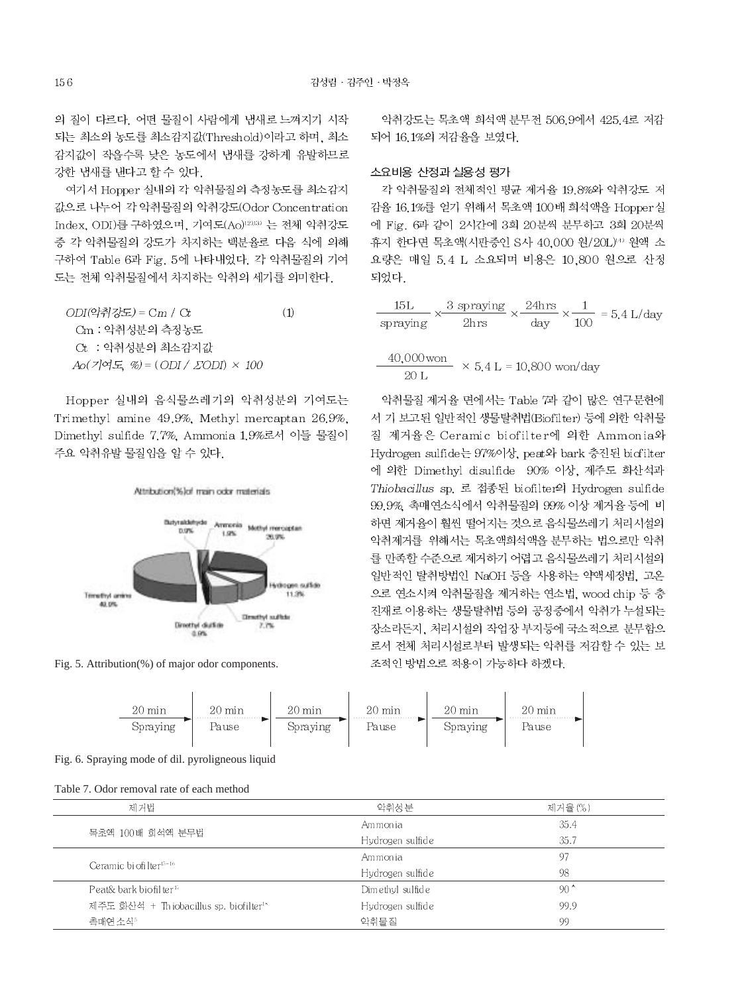의 질이 다르다. 어떤 물질이 사람에게 냄새로 느껴지기 시작 되는 최소의 농도를 최소감지값(Threshold)이라고 하며, 최소 감지값이 작을수록 낮은 농도에서 냄새를 강하게 유발하므로 강한 냄새를 낸다고 할 수 있다.

여기서 Hopper 실내의 각 악취물질의 측정농도를 최소감지 값으로 나누어 각 악취물질의 악취강도(Odor Concentration Index, ODI)를 구하였으며, 기여도(Ao)<sup>12)13)</sup> 는 전체 악취강도 중 각 악취물질의 강도가 차지하는 백분율로 다음 식에 의해 구하여 Table 6과 Fig. 5에 나타내었다. 각 악취물질의 기여 도는 전체 악취물질에서 차지하는 악취의 세기를 의미한다.

 $ODI($ 악취강도) =  $Cm / Ct$  $(1)$ Cm : 악취성분의 측정농도 Ct : 악취성분의 최소감지값  $Ao(7]@E$  %) =  $(ODI / ZODI) \times 100$ 

Hopper 실내의 음식물쓰레기의 악취성분의 기여도는 Trimethyl amine 49.9%. Methyl mercaptan 26.9%. Dimethyl sulfide 7.7%, Ammonia 1.9%로서 이들 물질이 주요 악취유발 물질임을 알 수 있다.



Fig. 5. Attribution(%) of major odor components.

악취강도는 목초액 회석액 분무전 506.9에서 425.4로 저감 되어 16.1%의 저감율을 보였다.

#### 소요비용 산정과 실용성 평가

각 악취물질의 전체적인 평균 제거율 19.8%와 악취강도 저 감율 16.1%를 얻기 위해서 목초액 100배 회석액을 Hopper실 에 Fig. 6과 같이 2시간에 3회 20분씩 분무하고 3회 20분씩 휴지 한다면 목초액(시판중인 S사 40.000 원/20L)<sup>®</sup> 원액 소 요량은 매일 5.4 L 소요되며 비용은 10.800 원으로 산정 되었다.

$$
\frac{15L}{\text{spraying}} \times \frac{3 \text{ spraying}}{2\text{hrs}} \times \frac{24\text{hrs}}{\text{day}} \times \frac{1}{100} = 5.4 \text{ L/day}
$$

$$
\frac{40,000 \text{ won}}{20 \text{ L}} \times 5.4 \text{ L} = 10,800 \text{ won/day}
$$

악취물질 제거율 면에서는 Table 7과 같이 많은 연구문헌에 서 기 보고된 일반적인 생물탈취법(Biofilter) 등에 의한 악취물 질 제거율은 Ceramic biofilter에 의한 Ammonia와 Hydrogen sulfide는 97%이상, peat와 bark 충진된 biofilter 에 의한 Dimethyl disulfide 90% 이상, 제주도 화산석과 Thiobacillus sp. 로 접종된 biofilter의 Hydrogen sulfide 99.9% 촉매연소식에서 악취물질의 99% 이상 제거율 등에 비 하면 제거율이 훨씬 떨어지는 것으로 음식물쓰레기 처리시설의 악취제거를 위해서는 목초액회석액을 분무하는 법으로만 악취 를 만족할 수준으로 제거하기 어렵고 음식물쓰레기 처리시설의 일반적인 탈취방법인 NaOH 등을 사용하는 약액세정법, 고온 으로 연소시켜 악취물질을 제거하는 연소법, wood chip 등 충 진재로 이용하는 생물탈취법 등의 공정중에서 악취가 누설되는 장소라든지, 처리시설의 작업장 부지등에 국소적으로 분무함으 로서 전체 처리시설로부터 발생되는 악취를 저감할 수 있는 보 조적인 방법으로 적용이 가능하다 하겠다.



Fig. 6. Spraying mode of dil. pyroligneous liquid

| Table 7. Odor removal rate of each method |  |  |
|-------------------------------------------|--|--|
|-------------------------------------------|--|--|

| 제거법                                                | 악취성분               | 제거율(%)        |
|----------------------------------------------------|--------------------|---------------|
|                                                    | Am mon ia          | 35.4          |
| 목초액 100배 회석액 분무법                                   | Hydrogen sulfid e  | 35.7          |
| Ceramic bi ofilter <sup>15-16</sup>                | Am mon ia          | 97            |
|                                                    | Hydrogen sulfid e  | 98            |
| Peat& bark biofil ter <sup>17</sup>                | Dim ethyl sulfid e | 90 $^{\circ}$ |
| 제주도 화산석 + Thiobacillus sp. biofilter <sup>18</sup> | Hydrogen sulfide   | 99.9          |
| 촌매연 소식*                                            | 악취물 짐              | 99            |